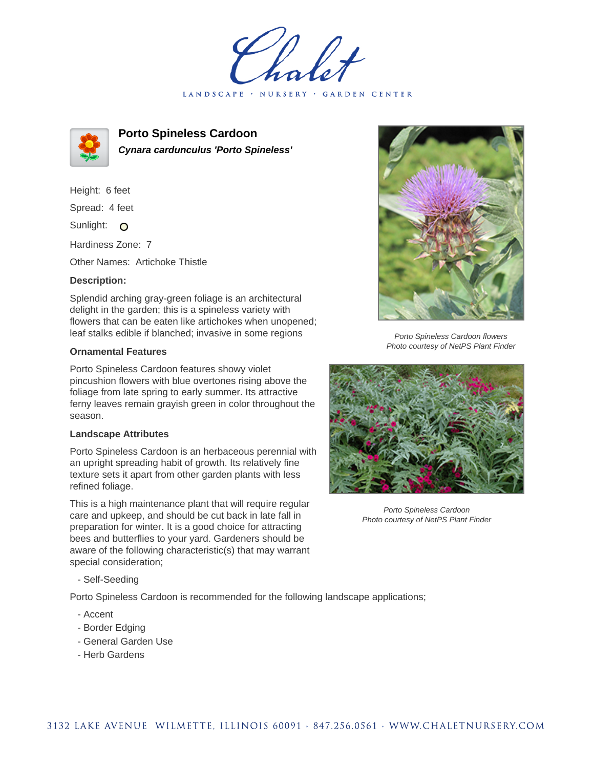LANDSCAPE · NURSERY · GARDEN CENTER



**Porto Spineless Cardoon Cynara cardunculus 'Porto Spineless'**

Height: 6 feet Spread: 4 feet Sunlight: O

Hardiness Zone: 7

Other Names: Artichoke Thistle

## **Description:**

Splendid arching gray-green foliage is an architectural delight in the garden; this is a spineless variety with flowers that can be eaten like artichokes when unopened; leaf stalks edible if blanched; invasive in some regions

## **Ornamental Features**

Porto Spineless Cardoon features showy violet pincushion flowers with blue overtones rising above the foliage from late spring to early summer. Its attractive ferny leaves remain grayish green in color throughout the season.

## **Landscape Attributes**

Porto Spineless Cardoon is an herbaceous perennial with an upright spreading habit of growth. Its relatively fine texture sets it apart from other garden plants with less refined foliage.

This is a high maintenance plant that will require regular care and upkeep, and should be cut back in late fall in preparation for winter. It is a good choice for attracting bees and butterflies to your yard. Gardeners should be aware of the following characteristic(s) that may warrant special consideration;

- Self-Seeding

Porto Spineless Cardoon is recommended for the following landscape applications;

- Accent
- Border Edging
- General Garden Use
- Herb Gardens



Porto Spineless Cardoon flowers Photo courtesy of NetPS Plant Finder



Porto Spineless Cardoon Photo courtesy of NetPS Plant Finder